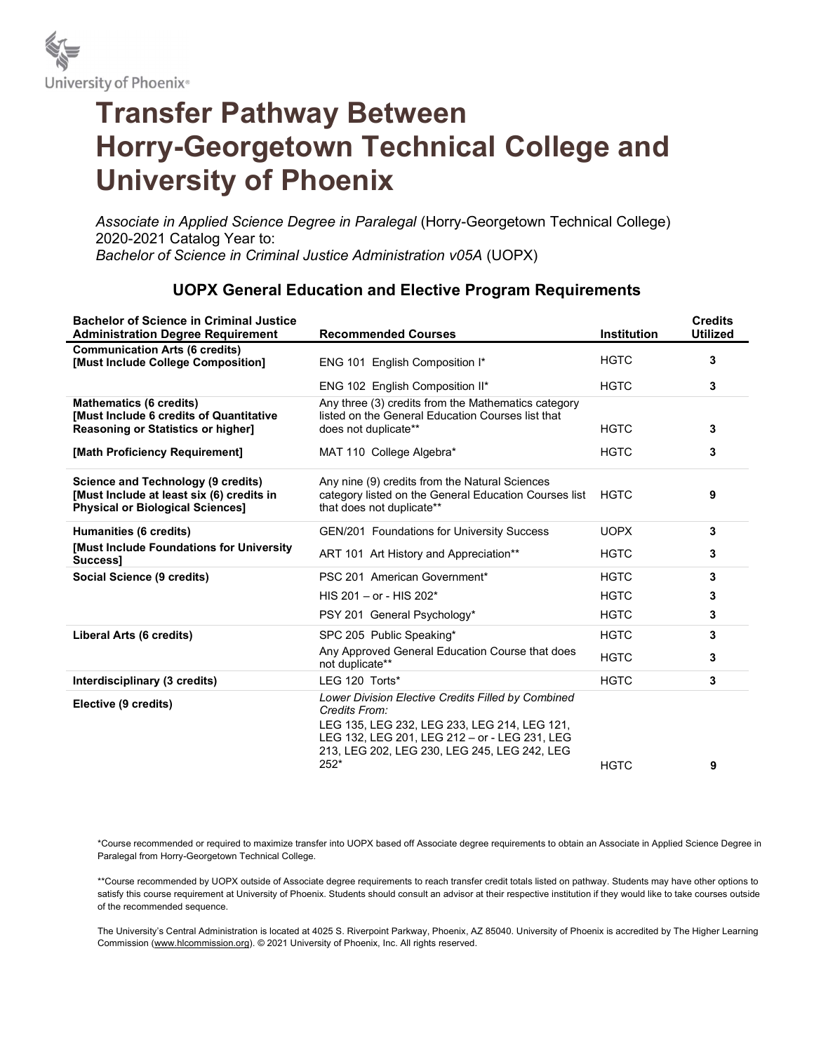

# Transfer Pathway Between Horry-Georgetown Technical College and University of Phoenix

Associate in Applied Science Degree in Paralegal (Horry-Georgetown Technical College) 2020-2021 Catalog Year to: Bachelor of Science in Criminal Justice Administration v05A (UOPX)

## UOPX General Education and Elective Program Requirements

| <b>Bachelor of Science in Criminal Justice</b><br><b>Administration Degree Requirement</b>                                    | <b>Recommended Courses</b>                                                                                                                                                                                                   | <b>Institution</b> | <b>Credits</b><br><b>Utilized</b> |
|-------------------------------------------------------------------------------------------------------------------------------|------------------------------------------------------------------------------------------------------------------------------------------------------------------------------------------------------------------------------|--------------------|-----------------------------------|
| <b>Communication Arts (6 credits)</b><br>[Must Include College Composition]                                                   | ENG 101 English Composition I*                                                                                                                                                                                               | <b>HGTC</b>        | 3                                 |
|                                                                                                                               | ENG 102 English Composition II*                                                                                                                                                                                              | <b>HGTC</b>        | 3                                 |
| <b>Mathematics (6 credits)</b><br><b>[Must Include 6 credits of Quantitative</b><br><b>Reasoning or Statistics or higher]</b> | Any three (3) credits from the Mathematics category<br>listed on the General Education Courses list that<br>does not duplicate**                                                                                             | <b>HGTC</b>        | 3                                 |
| [Math Proficiency Requirement]                                                                                                | MAT 110 College Algebra*                                                                                                                                                                                                     | <b>HGTC</b>        | 3                                 |
| Science and Technology (9 credits)<br>[Must Include at least six (6) credits in<br><b>Physical or Biological Sciences1</b>    | Any nine (9) credits from the Natural Sciences<br>category listed on the General Education Courses list<br>that does not duplicate**                                                                                         | <b>HGTC</b>        | 9                                 |
| Humanities (6 credits)                                                                                                        | <b>GEN/201 Foundations for University Success</b>                                                                                                                                                                            | <b>UOPX</b>        | 3                                 |
| [Must Include Foundations for University<br>Success1                                                                          | ART 101 Art History and Appreciation**                                                                                                                                                                                       | <b>HGTC</b>        | 3                                 |
| Social Science (9 credits)                                                                                                    | PSC 201 American Government*                                                                                                                                                                                                 | <b>HGTC</b>        | 3                                 |
|                                                                                                                               | HIS 201 – or - HIS 202*                                                                                                                                                                                                      | <b>HGTC</b>        | 3                                 |
|                                                                                                                               | PSY 201 General Psychology*                                                                                                                                                                                                  | <b>HGTC</b>        | 3                                 |
| Liberal Arts (6 credits)                                                                                                      | SPC 205 Public Speaking*                                                                                                                                                                                                     | <b>HGTC</b>        | 3                                 |
|                                                                                                                               | Any Approved General Education Course that does<br>not duplicate**                                                                                                                                                           | <b>HGTC</b>        | 3                                 |
| Interdisciplinary (3 credits)                                                                                                 | LEG 120 Torts*                                                                                                                                                                                                               | <b>HGTC</b>        | 3                                 |
| Elective (9 credits)                                                                                                          | Lower Division Elective Credits Filled by Combined<br>Credits From:<br>LEG 135, LEG 232, LEG 233, LEG 214, LEG 121,<br>LEG 132, LEG 201, LEG 212 - or - LEG 231, LEG<br>213, LEG 202, LEG 230, LEG 245, LEG 242, LEG<br>252* | <b>HGTC</b>        | 9                                 |

\*Course recommended or required to maximize transfer into UOPX based off Associate degree requirements to obtain an Associate in Applied Science Degree in Paralegal from Horry-Georgetown Technical College.

\*\*Course recommended by UOPX outside of Associate degree requirements to reach transfer credit totals listed on pathway. Students may have other options to satisfy this course requirement at University of Phoenix. Students should consult an advisor at their respective institution if they would like to take courses outside of the recommended sequence.

The University's Central Administration is located at 4025 S. Riverpoint Parkway, Phoenix, AZ 85040. University of Phoenix is accredited by The Higher Learning Commission (www.hlcommission.org). © 2021 University of Phoenix, Inc. All rights reserved.